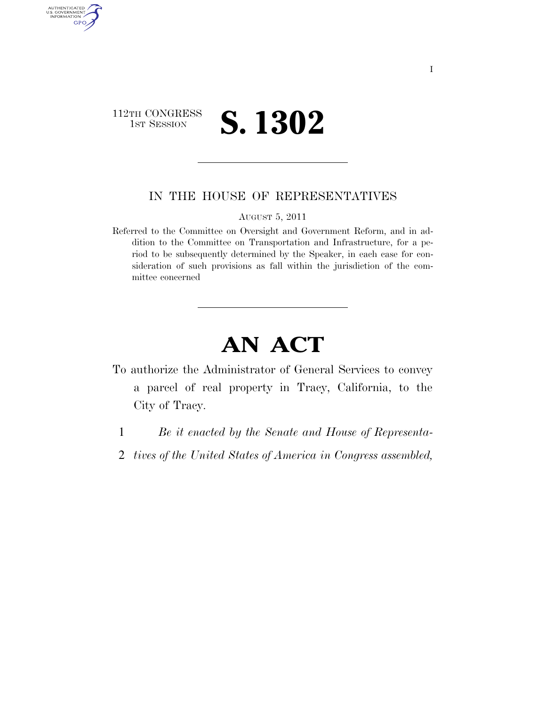## 112TH CONGRESS **1ST SESSION S. 1302**

AUTHENTICATED<br>U.S. GOVERNMENT<br>INFORMATION

GPO

## IN THE HOUSE OF REPRESENTATIVES

AUGUST 5, 2011

Referred to the Committee on Oversight and Government Reform, and in addition to the Committee on Transportation and Infrastructure, for a period to be subsequently determined by the Speaker, in each case for consideration of such provisions as fall within the jurisdiction of the committee concerned

## **AN ACT**

- To authorize the Administrator of General Services to convey a parcel of real property in Tracy, California, to the City of Tracy.
	- 1 *Be it enacted by the Senate and House of Representa-*
	- 2 *tives of the United States of America in Congress assembled,*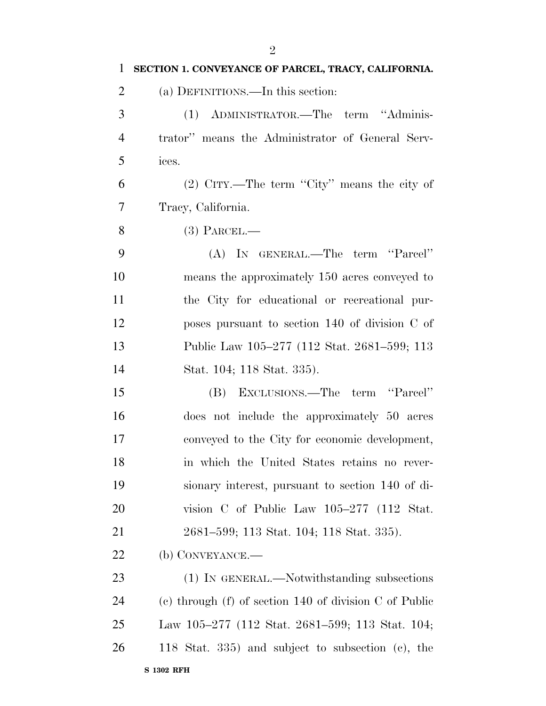| $\mathbf{1}$   | SECTION 1. CONVEYANCE OF PARCEL, TRACY, CALIFORNIA.        |
|----------------|------------------------------------------------------------|
| $\overline{2}$ | (a) DEFINITIONS.—In this section:                          |
| 3              | (1) ADMINISTRATOR.—The term "Adminis-                      |
| $\overline{4}$ | trator" means the Administrator of General Serv-           |
| 5              | ices.                                                      |
| 6              | $(2)$ CITY.—The term "City" means the city of              |
| $\tau$         | Tracy, California.                                         |
| 8              | $(3)$ PARCEL.—                                             |
| 9              | (A) IN GENERAL.—The term "Parcel"                          |
| 10             | means the approximately 150 acres conveyed to              |
| 11             | the City for educational or recreational pur-              |
| 12             | poses pursuant to section 140 of division C of             |
| 13             | Public Law 105–277 (112 Stat. 2681–599; 113                |
| 14             | Stat. 104; 118 Stat. 335).                                 |
| 15             | (B) EXCLUSIONS.—The term "Parcel"                          |
| 16             | does not include the approximately 50 acres                |
| 17             | conveyed to the City for economic development,             |
| 18             | in which the United States retains no rever-               |
| 19             | sionary interest, pursuant to section 140 of di-           |
| 20             | vision C of Public Law $105-277$ (112 Stat.                |
| 21             | 2681–599; 113 Stat. 104; 118 Stat. 335).                   |
| 22             | (b) CONVEYANCE.—                                           |
| 23             | (1) IN GENERAL.—Notwithstanding subsections                |
| 24             | (c) through $(f)$ of section 140 of division $C$ of Public |
| 25             | Law 105–277 (112 Stat. 2681–599; 113 Stat. 104;            |
| 26             | 118 Stat. 335) and subject to subsection (c), the          |
|                | <b>S 1302 RFH</b>                                          |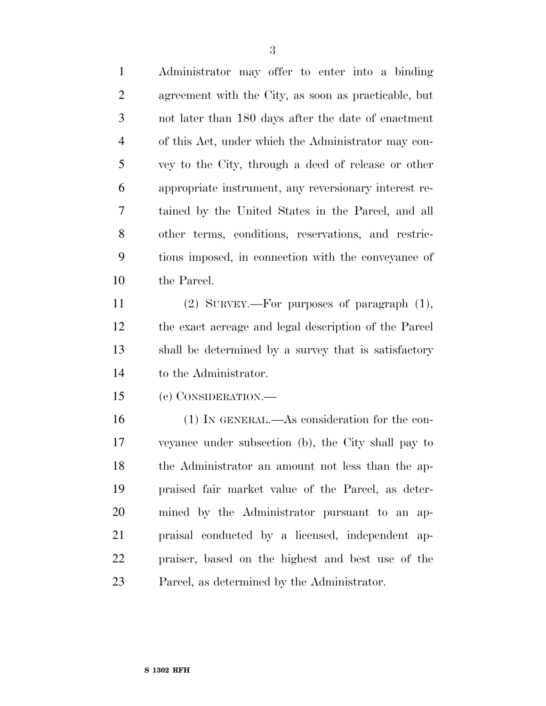Administrator may offer to enter into a binding agreement with the City, as soon as practicable, but not later than 180 days after the date of enactment of this Act, under which the Administrator may con- vey to the City, through a deed of release or other appropriate instrument, any reversionary interest re- tained by the United States in the Parcel, and all other terms, conditions, reservations, and restric- tions imposed, in connection with the conveyance of the Parcel.

 (2) SURVEY.—For purposes of paragraph (1), the exact acreage and legal description of the Parcel shall be determined by a survey that is satisfactory to the Administrator.

(c) CONSIDERATION.—

 (1) IN GENERAL.—As consideration for the con- veyance under subsection (b), the City shall pay to the Administrator an amount not less than the ap- praised fair market value of the Parcel, as deter- mined by the Administrator pursuant to an ap- praisal conducted by a licensed, independent ap- praiser, based on the highest and best use of the Parcel, as determined by the Administrator.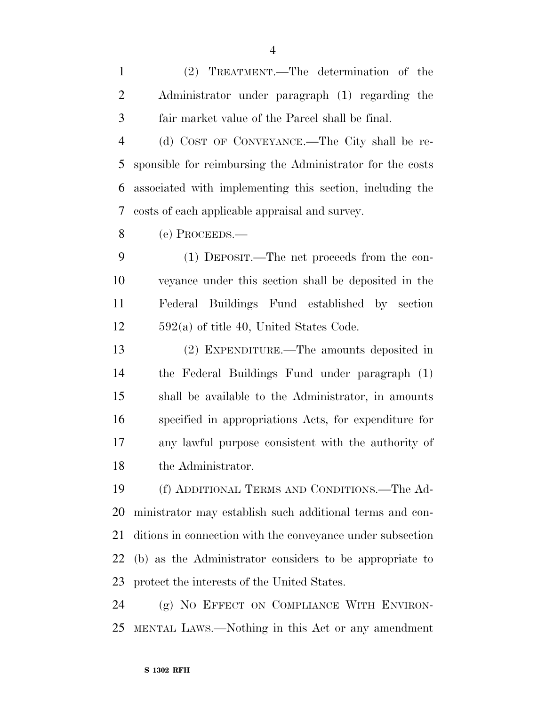(2) TREATMENT.—The determination of the Administrator under paragraph (1) regarding the fair market value of the Parcel shall be final.

 (d) COST OF CONVEYANCE.—The City shall be re- sponsible for reimbursing the Administrator for the costs associated with implementing this section, including the costs of each applicable appraisal and survey.

(e) PROCEEDS.—

 (1) DEPOSIT.—The net proceeds from the con- veyance under this section shall be deposited in the Federal Buildings Fund established by section 592(a) of title 40, United States Code.

 (2) EXPENDITURE.—The amounts deposited in the Federal Buildings Fund under paragraph (1) shall be available to the Administrator, in amounts specified in appropriations Acts, for expenditure for any lawful purpose consistent with the authority of the Administrator.

 (f) ADDITIONAL TERMS AND CONDITIONS.—The Ad- ministrator may establish such additional terms and con- ditions in connection with the conveyance under subsection (b) as the Administrator considers to be appropriate to protect the interests of the United States.

 (g) NO EFFECT ON COMPLIANCE WITH ENVIRON-MENTAL LAWS.—Nothing in this Act or any amendment